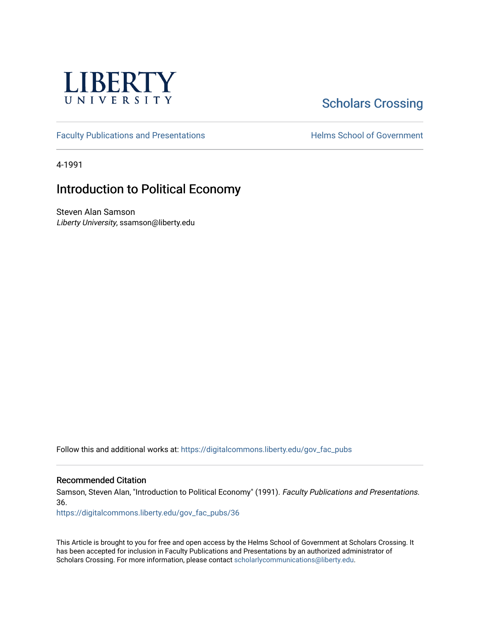

# **Scholars Crossing**

[Faculty Publications and Presentations](https://digitalcommons.liberty.edu/gov_fac_pubs) **Exercise School of Government** 

4-1991

## Introduction to Political Economy

Steven Alan Samson Liberty University, ssamson@liberty.edu

Follow this and additional works at: [https://digitalcommons.liberty.edu/gov\\_fac\\_pubs](https://digitalcommons.liberty.edu/gov_fac_pubs?utm_source=digitalcommons.liberty.edu%2Fgov_fac_pubs%2F36&utm_medium=PDF&utm_campaign=PDFCoverPages)

#### Recommended Citation

Samson, Steven Alan, "Introduction to Political Economy" (1991). Faculty Publications and Presentations. 36.

[https://digitalcommons.liberty.edu/gov\\_fac\\_pubs/36](https://digitalcommons.liberty.edu/gov_fac_pubs/36?utm_source=digitalcommons.liberty.edu%2Fgov_fac_pubs%2F36&utm_medium=PDF&utm_campaign=PDFCoverPages) 

This Article is brought to you for free and open access by the Helms School of Government at Scholars Crossing. It has been accepted for inclusion in Faculty Publications and Presentations by an authorized administrator of Scholars Crossing. For more information, please contact [scholarlycommunications@liberty.edu.](mailto:scholarlycommunications@liberty.edu)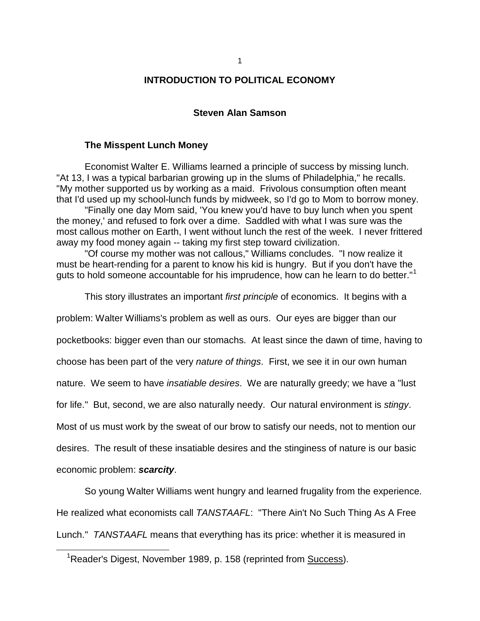#### **INTRODUCTION TO POLITICAL ECONOMY**

#### **Steven Alan Samson**

#### **The Misspent Lunch Money**

Economist Walter E. Williams learned a principle of success by missing lunch. "At 13, I was a typical barbarian growing up in the slums of Philadelphia," he recalls. "My mother supported us by working as a maid. Frivolous consumption often meant that I'd used up my school-lunch funds by midweek, so I'd go to Mom to borrow money.

"Finally one day Mom said, 'You knew you'd have to buy lunch when you spent the money,' and refused to fork over a dime. Saddled with what I was sure was the most callous mother on Earth, I went without lunch the rest of the week. I never frittered away my food money again -- taking my first step toward civilization.

"Of course my mother was not callous," Williams concludes. "I now realize it must be heart-rending for a parent to know his kid is hungry. But if you don't have the guts to hold someone accountable for his imprudence, how can he learn to do better."<sup>[1](#page-1-0)</sup>

This story illustrates an important *first principle* of economics. It begins with a

problem: Walter Williams's problem as well as ours. Our eyes are bigger than our

pocketbooks: bigger even than our stomachs. At least since the dawn of time, having to

choose has been part of the very *nature of things*. First, we see it in our own human

nature. We seem to have *insatiable desires*. We are naturally greedy; we have a "lust

for life." But, second, we are also naturally needy. Our natural environment is *stingy*.

Most of us must work by the sweat of our brow to satisfy our needs, not to mention our

desires. The result of these insatiable desires and the stinginess of nature is our basic

economic problem: *scarcity*.

j

So young Walter Williams went hungry and learned frugality from the experience. He realized what economists call *TANSTAAFL*: "There Ain't No Such Thing As A Free Lunch." *TANSTAAFL* means that everything has its price: whether it is measured in

<span id="page-1-0"></span><sup>&</sup>lt;sup>1</sup>Reader's Digest, November 1989, p. 158 (reprinted from **Success**).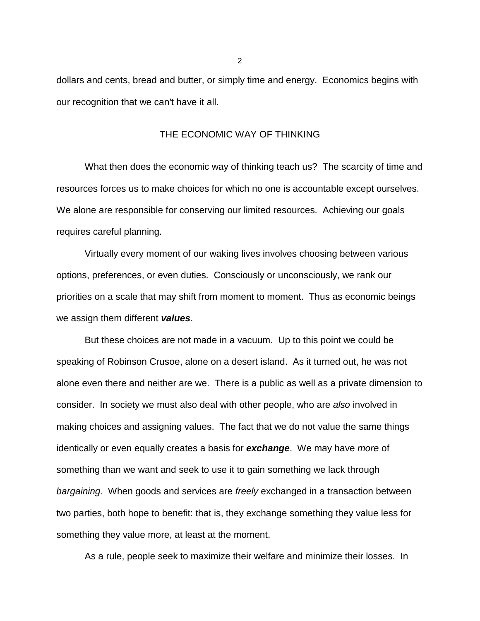dollars and cents, bread and butter, or simply time and energy. Economics begins with our recognition that we can't have it all.

## THE ECONOMIC WAY OF THINKING

What then does the economic way of thinking teach us? The scarcity of time and resources forces us to make choices for which no one is accountable except ourselves. We alone are responsible for conserving our limited resources. Achieving our goals requires careful planning.

Virtually every moment of our waking lives involves choosing between various options, preferences, or even duties. Consciously or unconsciously, we rank our priorities on a scale that may shift from moment to moment. Thus as economic beings we assign them different *values*.

But these choices are not made in a vacuum. Up to this point we could be speaking of Robinson Crusoe, alone on a desert island. As it turned out, he was not alone even there and neither are we. There is a public as well as a private dimension to consider. In society we must also deal with other people, who are *also* involved in making choices and assigning values. The fact that we do not value the same things identically or even equally creates a basis for *exchange*. We may have *more* of something than we want and seek to use it to gain something we lack through *bargaining*. When goods and services are *freely* exchanged in a transaction between two parties, both hope to benefit: that is, they exchange something they value less for something they value more, at least at the moment.

As a rule, people seek to maximize their welfare and minimize their losses. In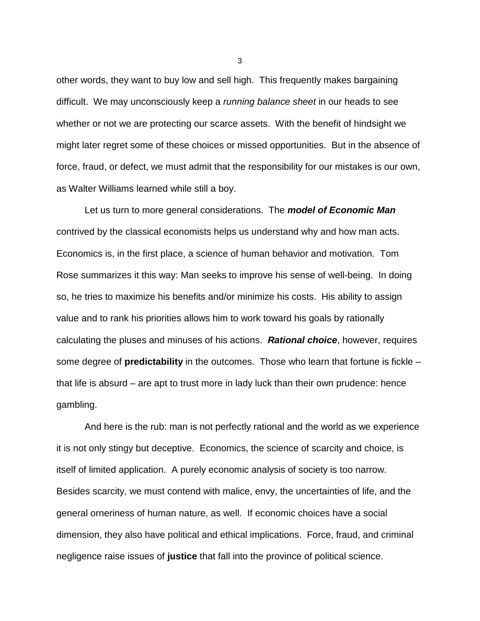other words, they want to buy low and sell high. This frequently makes bargaining difficult. We may unconsciously keep a *running balance sheet* in our heads to see whether or not we are protecting our scarce assets. With the benefit of hindsight we might later regret some of these choices or missed opportunities. But in the absence of force, fraud, or defect, we must admit that the responsibility for our mistakes is our own, as Walter Williams learned while still a boy.

Let us turn to more general considerations. The *model of Economic Man* contrived by the classical economists helps us understand why and how man acts. Economics is, in the first place, a science of human behavior and motivation. Tom Rose summarizes it this way: Man seeks to improve his sense of well-being. In doing so, he tries to maximize his benefits and/or minimize his costs. His ability to assign value and to rank his priorities allows him to work toward his goals by rationally calculating the pluses and minuses of his actions. *Rational choice*, however, requires some degree of **predictability** in the outcomes. Those who learn that fortune is fickle – that life is absurd – are apt to trust more in lady luck than their own prudence: hence gambling.

And here is the rub: man is not perfectly rational and the world as we experience it is not only stingy but deceptive. Economics, the science of scarcity and choice, is itself of limited application. A purely economic analysis of society is too narrow. Besides scarcity, we must contend with malice, envy, the uncertainties of life, and the general orneriness of human nature, as well. If economic choices have a social dimension, they also have political and ethical implications. Force, fraud, and criminal negligence raise issues of **justice** that fall into the province of political science.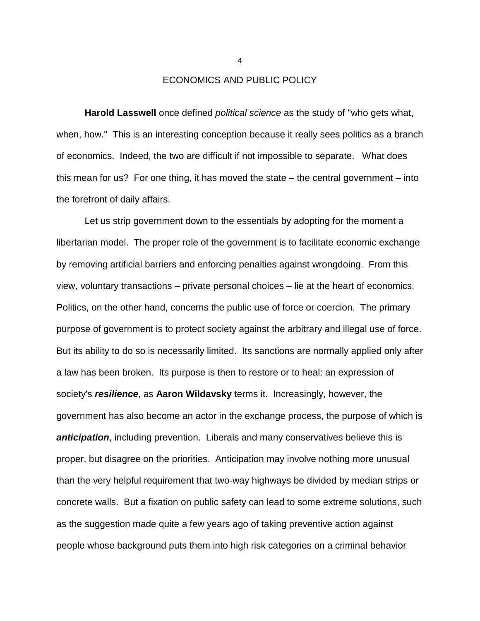ECONOMICS AND PUBLIC POLICY

**Harold Lasswell** once defined *political science* as the study of "who gets what, when, how." This is an interesting conception because it really sees politics as a branch of economics. Indeed, the two are difficult if not impossible to separate. What does this mean for us? For one thing, it has moved the state – the central government – into the forefront of daily affairs.

Let us strip government down to the essentials by adopting for the moment a libertarian model. The proper role of the government is to facilitate economic exchange by removing artificial barriers and enforcing penalties against wrongdoing. From this view, voluntary transactions – private personal choices – lie at the heart of economics. Politics, on the other hand, concerns the public use of force or coercion. The primary purpose of government is to protect society against the arbitrary and illegal use of force. But its ability to do so is necessarily limited. Its sanctions are normally applied only after a law has been broken. Its purpose is then to restore or to heal: an expression of society's *resilience*, as **Aaron Wildavsky** terms it. Increasingly, however, the government has also become an actor in the exchange process, the purpose of which is *anticipation*, including prevention. Liberals and many conservatives believe this is proper, but disagree on the priorities. Anticipation may involve nothing more unusual than the very helpful requirement that two-way highways be divided by median strips or concrete walls. But a fixation on public safety can lead to some extreme solutions, such as the suggestion made quite a few years ago of taking preventive action against people whose background puts them into high risk categories on a criminal behavior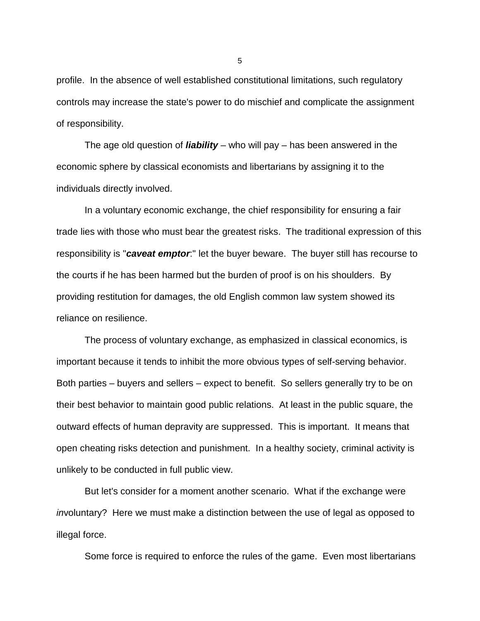profile. In the absence of well established constitutional limitations, such regulatory controls may increase the state's power to do mischief and complicate the assignment of responsibility.

The age old question of *liability* – who will pay – has been answered in the economic sphere by classical economists and libertarians by assigning it to the individuals directly involved.

In a voluntary economic exchange, the chief responsibility for ensuring a fair trade lies with those who must bear the greatest risks. The traditional expression of this responsibility is "*caveat emptor*:" let the buyer beware. The buyer still has recourse to the courts if he has been harmed but the burden of proof is on his shoulders. By providing restitution for damages, the old English common law system showed its reliance on resilience.

The process of voluntary exchange, as emphasized in classical economics, is important because it tends to inhibit the more obvious types of self-serving behavior. Both parties – buyers and sellers – expect to benefit. So sellers generally try to be on their best behavior to maintain good public relations. At least in the public square, the outward effects of human depravity are suppressed. This is important. It means that open cheating risks detection and punishment. In a healthy society, criminal activity is unlikely to be conducted in full public view.

But let's consider for a moment another scenario. What if the exchange were *in*voluntary? Here we must make a distinction between the use of legal as opposed to illegal force.

Some force is required to enforce the rules of the game. Even most libertarians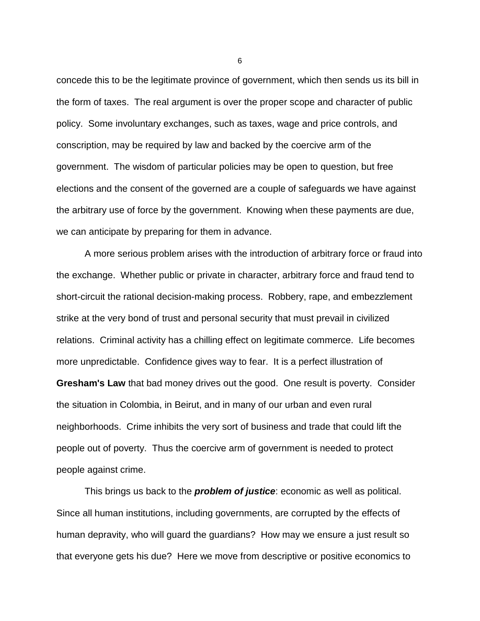concede this to be the legitimate province of government, which then sends us its bill in the form of taxes. The real argument is over the proper scope and character of public policy. Some involuntary exchanges, such as taxes, wage and price controls, and conscription, may be required by law and backed by the coercive arm of the government. The wisdom of particular policies may be open to question, but free elections and the consent of the governed are a couple of safeguards we have against the arbitrary use of force by the government. Knowing when these payments are due, we can anticipate by preparing for them in advance.

A more serious problem arises with the introduction of arbitrary force or fraud into the exchange. Whether public or private in character, arbitrary force and fraud tend to short-circuit the rational decision-making process. Robbery, rape, and embezzlement strike at the very bond of trust and personal security that must prevail in civilized relations. Criminal activity has a chilling effect on legitimate commerce. Life becomes more unpredictable. Confidence gives way to fear. It is a perfect illustration of **Gresham's Law** that bad money drives out the good. One result is poverty. Consider the situation in Colombia, in Beirut, and in many of our urban and even rural neighborhoods. Crime inhibits the very sort of business and trade that could lift the people out of poverty. Thus the coercive arm of government is needed to protect people against crime.

This brings us back to the *problem of justice*: economic as well as political. Since all human institutions, including governments, are corrupted by the effects of human depravity, who will guard the guardians? How may we ensure a just result so that everyone gets his due? Here we move from descriptive or positive economics to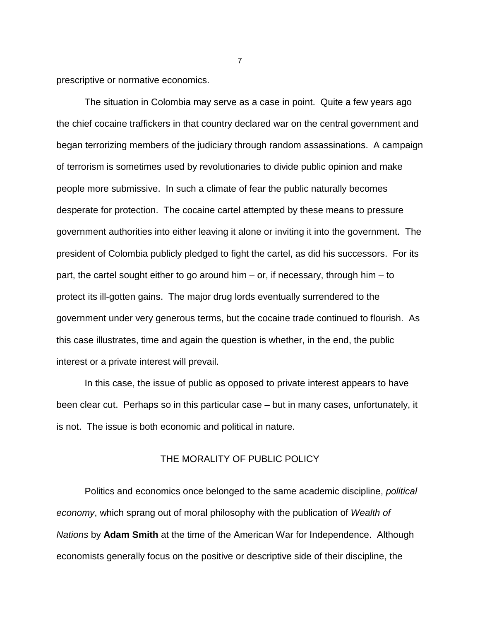prescriptive or normative economics.

The situation in Colombia may serve as a case in point. Quite a few years ago the chief cocaine traffickers in that country declared war on the central government and began terrorizing members of the judiciary through random assassinations. A campaign of terrorism is sometimes used by revolutionaries to divide public opinion and make people more submissive. In such a climate of fear the public naturally becomes desperate for protection. The cocaine cartel attempted by these means to pressure government authorities into either leaving it alone or inviting it into the government. The president of Colombia publicly pledged to fight the cartel, as did his successors. For its part, the cartel sought either to go around him – or, if necessary, through him – to protect its ill-gotten gains. The major drug lords eventually surrendered to the government under very generous terms, but the cocaine trade continued to flourish. As this case illustrates, time and again the question is whether, in the end, the public interest or a private interest will prevail.

In this case, the issue of public as opposed to private interest appears to have been clear cut. Perhaps so in this particular case – but in many cases, unfortunately, it is not. The issue is both economic and political in nature.

## THE MORALITY OF PUBLIC POLICY

Politics and economics once belonged to the same academic discipline, *political economy*, which sprang out of moral philosophy with the publication of *Wealth of Nations* by **Adam Smith** at the time of the American War for Independence. Although economists generally focus on the positive or descriptive side of their discipline, the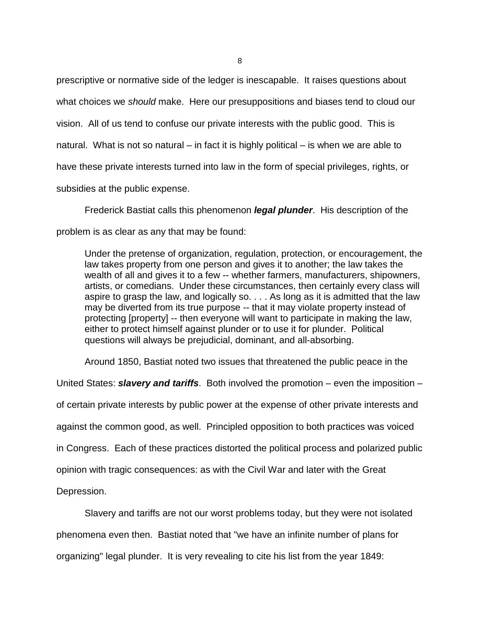prescriptive or normative side of the ledger is inescapable. It raises questions about what choices we *should* make. Here our presuppositions and biases tend to cloud our vision. All of us tend to confuse our private interests with the public good. This is natural. What is not so natural – in fact it is highly political – is when we are able to have these private interests turned into law in the form of special privileges, rights, or subsidies at the public expense.

Frederick Bastiat calls this phenomenon *legal plunder*. His description of the problem is as clear as any that may be found:

Under the pretense of organization, regulation, protection, or encouragement, the law takes property from one person and gives it to another; the law takes the wealth of all and gives it to a few -- whether farmers, manufacturers, shipowners, artists, or comedians. Under these circumstances, then certainly every class will aspire to grasp the law, and logically so. . . . As long as it is admitted that the law may be diverted from its true purpose -- that it may violate property instead of protecting [property] -- then everyone will want to participate in making the law, either to protect himself against plunder or to use it for plunder. Political questions will always be prejudicial, dominant, and all-absorbing.

Around 1850, Bastiat noted two issues that threatened the public peace in the

United States: *slavery and tariffs*. Both involved the promotion – even the imposition – of certain private interests by public power at the expense of other private interests and against the common good, as well. Principled opposition to both practices was voiced in Congress. Each of these practices distorted the political process and polarized public opinion with tragic consequences: as with the Civil War and later with the Great Depression.

Slavery and tariffs are not our worst problems today, but they were not isolated phenomena even then. Bastiat noted that "we have an infinite number of plans for organizing" legal plunder. It is very revealing to cite his list from the year 1849: